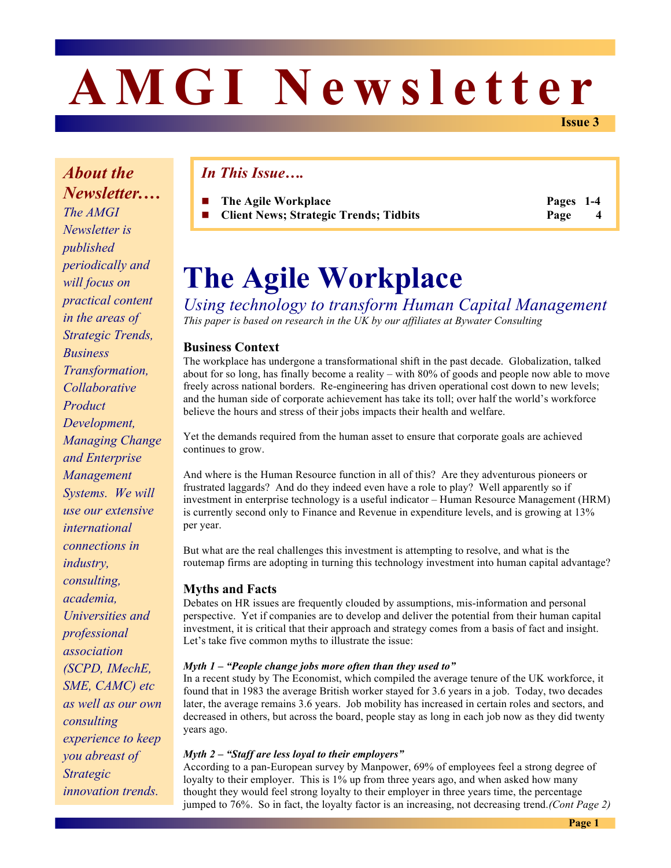# **AMGI Newsletter**

**Issue 3**

*About the Newsletter.… The AMGI Newsletter is published periodically and will focus on practical content in the areas of Strategic Trends, Business Transformation, Collaborative Product Development, Managing Change and Enterprise Management Systems. We will use our extensive international connections in industry, consulting, academia, Universities and professional association (SCPD, IMechE, SME, CAMC) etc as well as our own consulting experience to keep you abreast of Strategic innovation trends.*

# *In This Issue….*

**The Agile Workplace Pages 1-4** ■ **Client News; Strategic Trends; Tidbits Page** 

# **The Agile Workplace**

*Using technology to transform Human Capital Management This paper is based on research in the UK by our affiliates at Bywater Consulting*

#### **Business Context**

The workplace has undergone a transformational shift in the past decade. Globalization, talked about for so long, has finally become a reality – with 80% of goods and people now able to move freely across national borders. Re-engineering has driven operational cost down to new levels; and the human side of corporate achievement has take its toll; over half the world's workforce believe the hours and stress of their jobs impacts their health and welfare.

Yet the demands required from the human asset to ensure that corporate goals are achieved continues to grow.

And where is the Human Resource function in all of this? Are they adventurous pioneers or frustrated laggards? And do they indeed even have a role to play? Well apparently so if investment in enterprise technology is a useful indicator – Human Resource Management (HRM) is currently second only to Finance and Revenue in expenditure levels, and is growing at 13% per year.

But what are the real challenges this investment is attempting to resolve, and what is the routemap firms are adopting in turning this technology investment into human capital advantage?

#### **Myths and Facts**

Debates on HR issues are frequently clouded by assumptions, mis-information and personal perspective. Yet if companies are to develop and deliver the potential from their human capital investment, it is critical that their approach and strategy comes from a basis of fact and insight. Let's take five common myths to illustrate the issue:

#### *Myth 1 – "People change jobs more often than they used to"*

In a recent study by The Economist, which compiled the average tenure of the UK workforce, it found that in 1983 the average British worker stayed for 3.6 years in a job. Today, two decades later, the average remains 3.6 years. Job mobility has increased in certain roles and sectors, and decreased in others, but across the board, people stay as long in each job now as they did twenty years ago.

#### *Myth 2 – "Staff are less loyal to their employers"*

According to a pan-European survey by Manpower, 69% of employees feel a strong degree of loyalty to their employer. This is 1% up from three years ago, and when asked how many thought they would feel strong loyalty to their employer in three years time, the percentage jumped to 76%. So in fact, the loyalty factor is an increasing, not decreasing trend.*(Cont Page 2)*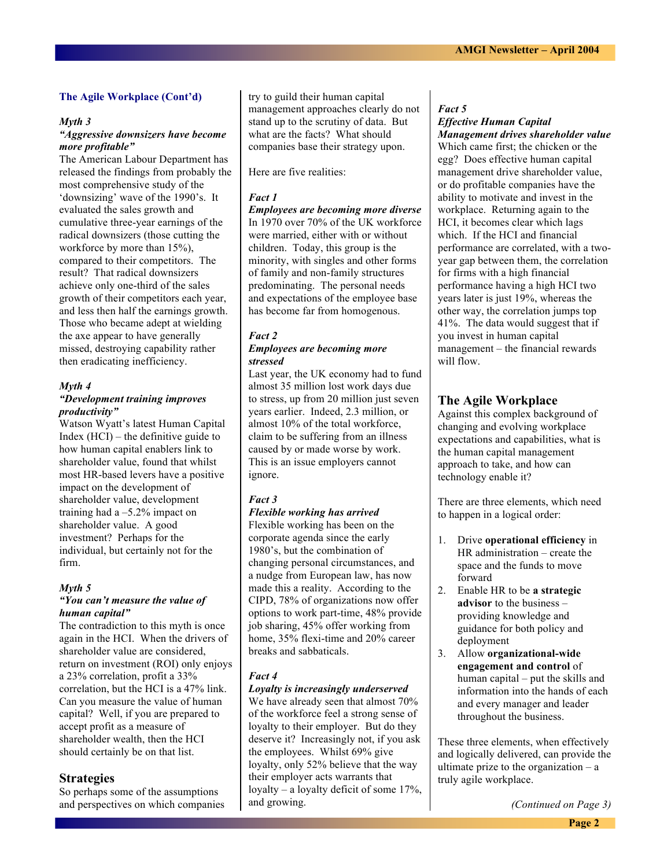#### **The Agile Workplace (Cont'd)**

#### *Myth 3*

#### *"Aggressive downsizers have become more profitable"*

The American Labour Department has released the findings from probably the most comprehensive study of the 'downsizing' wave of the 1990's. It evaluated the sales growth and cumulative three-year earnings of the radical downsizers (those cutting the workforce by more than  $15\%$ ), compared to their competitors. The result? That radical downsizers achieve only one-third of the sales growth of their competitors each year, and less then half the earnings growth. Those who became adept at wielding the axe appear to have generally missed, destroying capability rather then eradicating inefficiency.

#### *Myth 4*

#### *"Development training improves productivity"*

Watson Wyatt's latest Human Capital Index (HCI) – the definitive guide to how human capital enablers link to shareholder value, found that whilst most HR-based levers have a positive impact on the development of shareholder value, development training had a –5.2% impact on shareholder value. A good investment? Perhaps for the individual, but certainly not for the firm.

#### *Myth 5*

#### *"You can't measure the value of human capital"*

The contradiction to this myth is once again in the HCI. When the drivers of shareholder value are considered, return on investment (ROI) only enjoys a 23% correlation, profit a 33% correlation, but the HCI is a 47% link. Can you measure the value of human capital? Well, if you are prepared to accept profit as a measure of shareholder wealth, then the HCI should certainly be on that list.

#### **Strategies**

So perhaps some of the assumptions and perspectives on which companies try to guild their human capital management approaches clearly do not stand up to the scrutiny of data. But what are the facts? What should companies base their strategy upon.

#### Here are five realities:

#### *Fact 1*

*Employees are becoming more diverse* In 1970 over 70% of the UK workforce were married, either with or without children. Today, this group is the minority, with singles and other forms of family and non-family structures predominating. The personal needs and expectations of the employee base has become far from homogenous.

#### *Fact 2 Employees are becoming more stressed*

Last year, the UK economy had to fund almost 35 million lost work days due to stress, up from 20 million just seven years earlier. Indeed, 2.3 million, or almost 10% of the total workforce, claim to be suffering from an illness caused by or made worse by work. This is an issue employers cannot ignore.

#### *Fact 3*

#### *Flexible working has arrived* Flexible working has been on the corporate agenda since the early 1980's, but the combination of changing personal circumstances, and a nudge from European law, has now made this a reality. According to the CIPD, 78% of organizations now offer options to work part-time, 48% provide job sharing, 45% offer working from home, 35% flexi-time and 20% career breaks and sabbaticals.

#### *Fact 4*

#### *Loyalty is increasingly underserved*

We have already seen that almost 70% of the workforce feel a strong sense of loyalty to their employer. But do they deserve it? Increasingly not, if you ask the employees. Whilst 69% give loyalty, only 52% believe that the way their employer acts warrants that loyalty – a loyalty deficit of some 17%, and growing.

#### *Fact 5 Effective Human Capital*

*Management drives shareholder value* Which came first; the chicken or the egg? Does effective human capital management drive shareholder value, or do profitable companies have the ability to motivate and invest in the workplace. Returning again to the HCI, it becomes clear which lags which. If the HCI and financial performance are correlated, with a twoyear gap between them, the correlation for firms with a high financial performance having a high HCI two years later is just 19%, whereas the other way, the correlation jumps top 41%. The data would suggest that if you invest in human capital management – the financial rewards will flow.

#### **The Agile Workplace**

Against this complex background of changing and evolving workplace expectations and capabilities, what is the human capital management approach to take, and how can technology enable it?

There are three elements, which need to happen in a logical order:

- 1. Drive **operational efficiency** in HR administration – create the space and the funds to move forward
- 2. Enable HR to be **a strategic advisor** to the business – providing knowledge and guidance for both policy and deployment
- 3. Allow **organizational-wide engagement and control** of human capital – put the skills and information into the hands of each and every manager and leader throughout the business.

These three elements, when effectively and logically delivered, can provide the ultimate prize to the organization  $-$  a truly agile workplace.

*(Continued on Page 3)*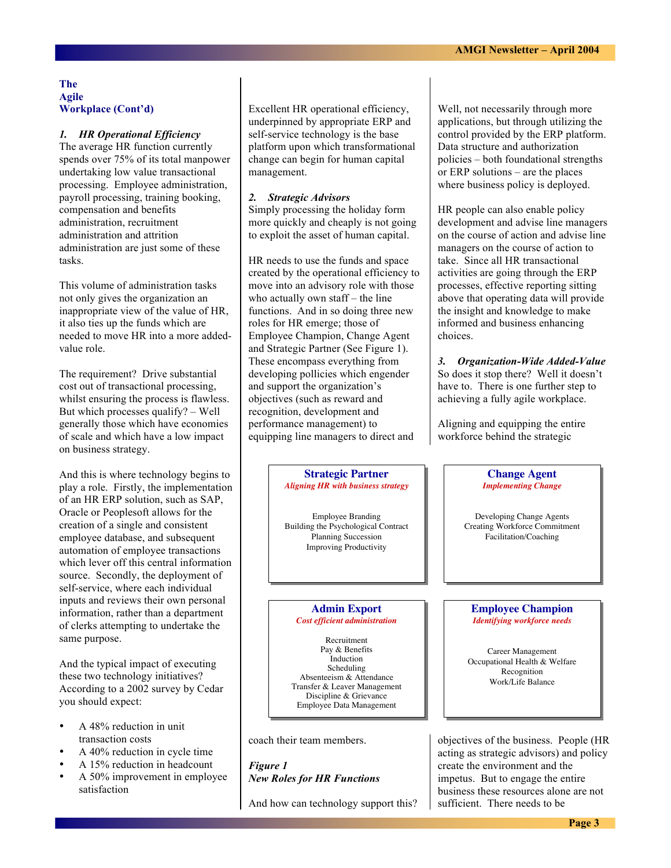#### **The Agile Workplace (Cont'd)**

### *1. HR Operational Efficiency*

The average HR function currently spends over 75% of its total manpower undertaking low value transactional processing. Employee administration, payroll processing, training booking, compensation and benefits administration, recruitment administration and attrition administration are just some of these tasks.

This volume of administration tasks not only gives the organization an inappropriate view of the value of HR, it also ties up the funds which are needed to move HR into a more addedvalue role.

The requirement? Drive substantial cost out of transactional processing, whilst ensuring the process is flawless. But which processes qualify? – Well generally those which have economies of scale and which have a low impact on business strategy.

And this is where technology begins to play a role. Firstly, the implementation of an HR ERP solution, such as SAP, Oracle or Peoplesoft allows for the creation of a single and consistent employee database, and subsequent automation of employee transactions which lever off this central information source. Secondly, the deployment of self-service, where each individual inputs and reviews their own personal information, rather than a department of clerks attempting to undertake the same purpose.

And the typical impact of executing these two technology initiatives? According to a 2002 survey by Cedar you should expect:

- A 48% reduction in unit transaction costs
- A 40% reduction in cycle time
- A 15% reduction in headcount
- A 50% improvement in employee satisfaction

Excellent HR operational efficiency, underpinned by appropriate ERP and self-service technology is the base platform upon which transformational change can begin for human capital management.

#### *2. Strategic Advisors*

Simply processing the holiday form more quickly and cheaply is not going to exploit the asset of human capital.

HR needs to use the funds and space created by the operational efficiency to move into an advisory role with those who actually own staff – the line functions. And in so doing three new roles for HR emerge; those of Employee Champion, Change Agent and Strategic Partner (See Figure 1). These encompass everything from developing pollicies which engender and support the organization's objectives (such as reward and recognition, development and performance management) to equipping line managers to direct and

> **Strategic Partner Strategic Partner** *Aligning HR with business strategy Aligning HR with business strategy*

Employee Branding Employee Branding Building the Psychological Contract Building the Psychological Contract Planning Succession Planning Succession Improving Productivity Improving Productivity

#### **Admin Export Admin Export** *Cost efficient administration Cost efficient administration*

Recruitment Recruitment Pay & Benefits Pay & Benefits Induction Scheduling Scheduling<br>Absenteeism & Attendance Absenteeism & Attendance Transfer & Leaver Management Transfer & Leaver Management Discipline & Grievance Discipline & Grievance Employee Data Management Employee Data Management Induction

coach their team members.

*Figure 1 New Roles for HR Functions*

And how can technology support this?

Well, not necessarily through more applications, but through utilizing the control provided by the ERP platform. Data structure and authorization policies – both foundational strengths or ERP solutions – are the places where business policy is deployed.

HR people can also enable policy development and advise line managers on the course of action and advise line managers on the course of action to take. Since all HR transactional activities are going through the ERP processes, effective reporting sitting above that operating data will provide the insight and knowledge to make informed and business enhancing choices.

*3. Organization-Wide Added-Value* So does it stop there? Well it doesn't have to. There is one further step to achieving a fully agile workplace.

Aligning and equipping the entire workforce behind the strategic

> **Change Agent Change Agent** *Implementing Change Implementing Change*

Developing Change Agents Developing Change Agents Creating Workforce Commitment Creating Workforce Commitment Facilitation/Coaching Facilitation/Coaching

#### **Employee Champion Employee Champion** *Identifying workforce needs Identifying workforce needs*

Career Management Career Management Occupational Health & Welfare Occupational Health & Welfare Recognition Recognition Work/Life Balance Work/Life Balance

objectives of the business. People (HR acting as strategic advisors) and policy create the environment and the impetus. But to engage the entire business these resources alone are not sufficient. There needs to be